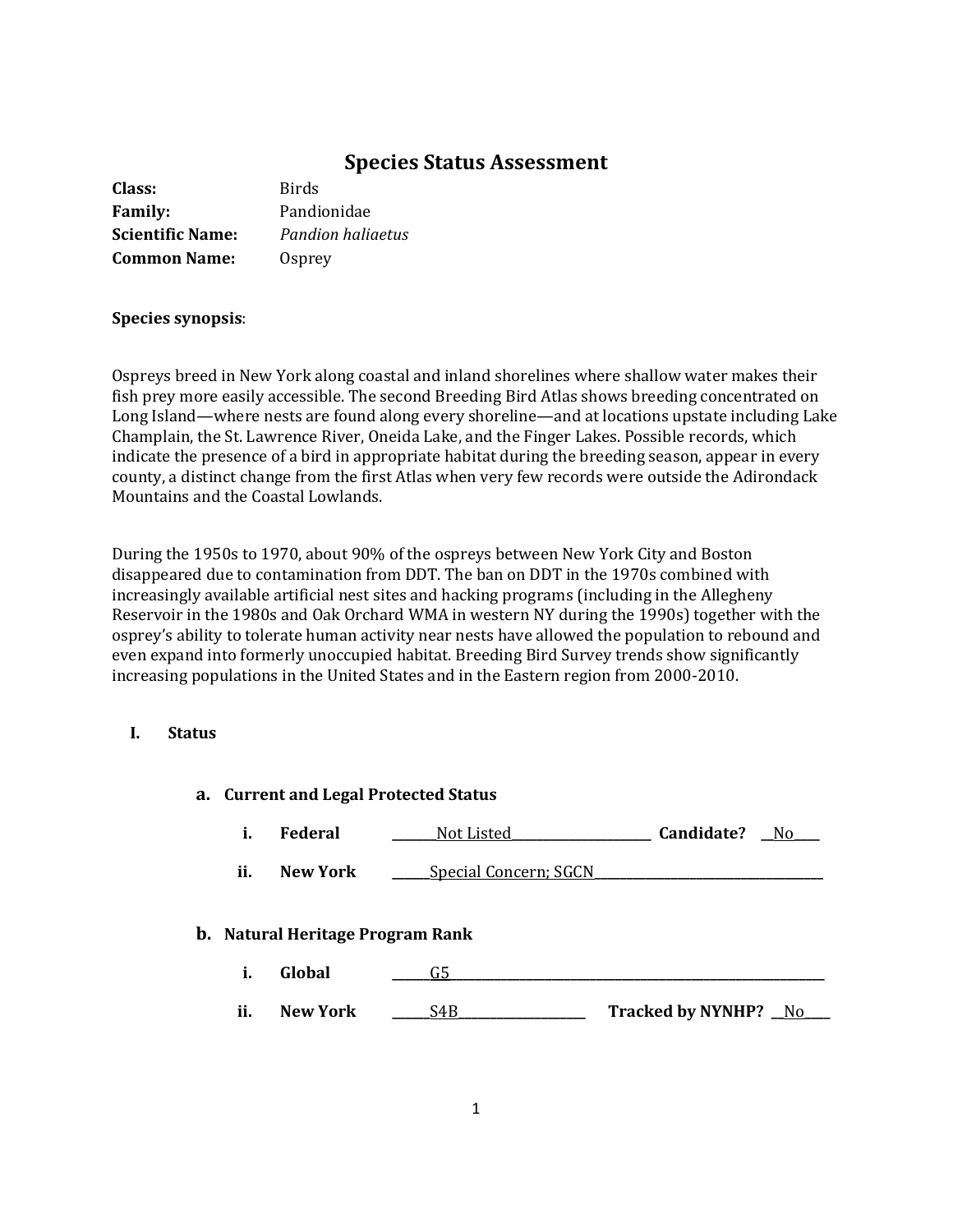# **Species Status Assessment**

| Class:                  | <b>Birds</b>      |
|-------------------------|-------------------|
| <b>Family:</b>          | Pandionidae       |
| <b>Scientific Name:</b> | Pandion haliaetus |
| <b>Common Name:</b>     | Osprey            |

### **Species synopsis**:

Ospreys breed in New York along coastal and inland shorelines where shallow water makes their fish prey more easily accessible. The second Breeding Bird Atlas shows breeding concentrated on Long Island—where nests are found along every shoreline—and at locations upstate including Lake Champlain, the St. Lawrence River, Oneida Lake, and the Finger Lakes. Possible records, which indicate the presence of a bird in appropriate habitat during the breeding season, appear in every county, a distinct change from the first Atlas when very few records were outside the Adirondack Mountains and the Coastal Lowlands.

During the 1950s to 1970, about 90% of the ospreys between New York City and Boston disappeared due to contamination from DDT. The ban on DDT in the 1970s combined with increasingly available artificial nest sites and hacking programs (including in the Allegheny Reservoir in the 1980s and Oak Orchard WMA in western NY during the 1990s) together with the osprey's ability to tolerate human activity near nests have allowed the population to rebound and even expand into formerly unoccupied habitat. Breeding Bird Survey trends show significantly increasing populations in the United States and in the Eastern region from 2000-2010.

### **I. Status**

| a. Current and Legal Protected Status |                                         |                       |                      |  |
|---------------------------------------|-----------------------------------------|-----------------------|----------------------|--|
| i.                                    | <b>Federal</b>                          | Not Listed            | Candidate?<br>- No   |  |
| ii.                                   | New York                                | Special Concern; SGCN |                      |  |
|                                       | <b>b.</b> Natural Heritage Program Rank |                       |                      |  |
| i.                                    | Global                                  | G5                    |                      |  |
| ii.                                   | New York                                | S4B                   | Tracked by NYNHP? No |  |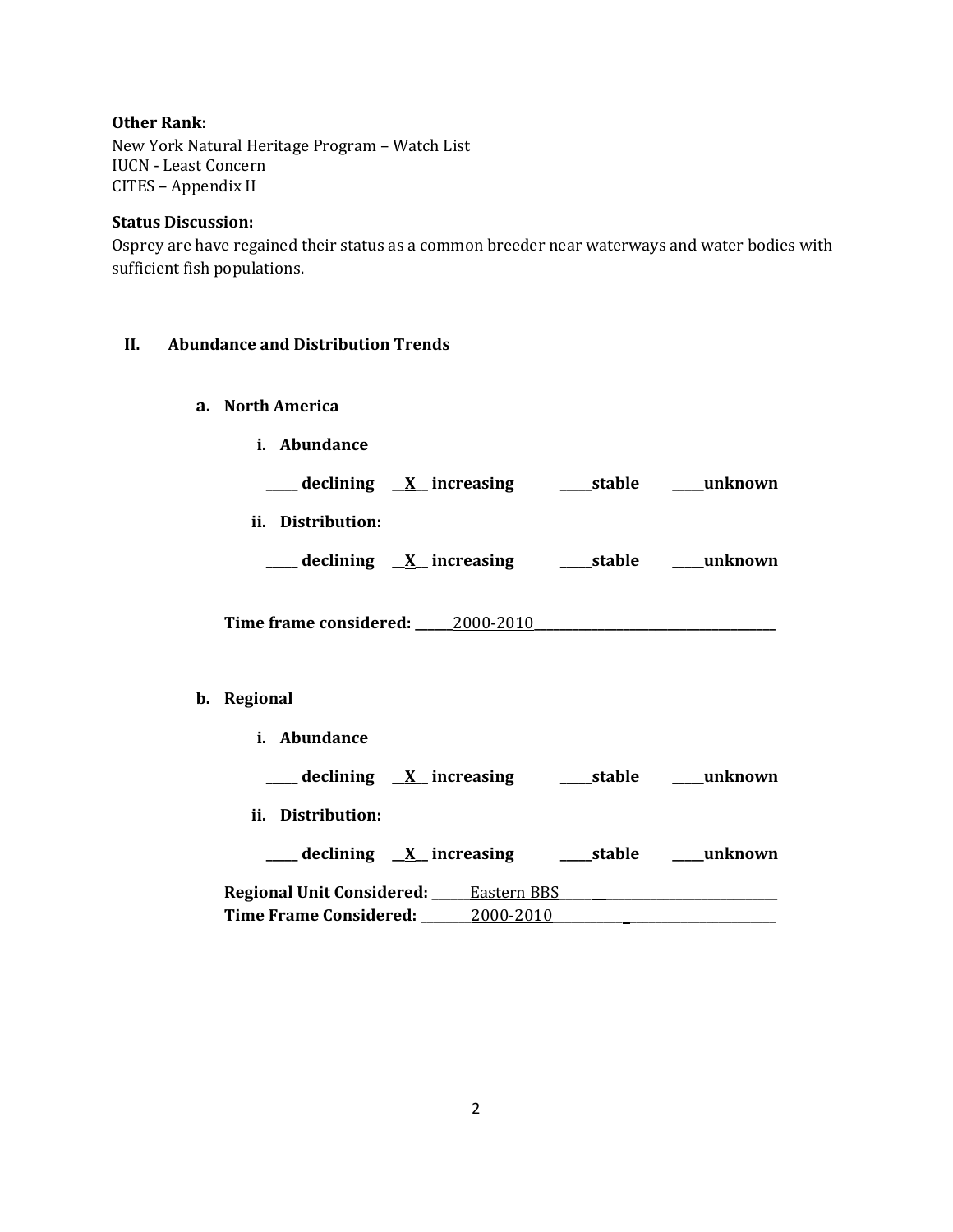### **Other Rank:**

New York Natural Heritage Program – Watch List IUCN - Least Concern CITES – Appendix II

### **Status Discussion:**

Osprey are have regained their status as a common breeder near waterways and water bodies with sufficient fish populations.

# **II. Abundance and Distribution Trends**

- **a. North America**
	- **i. Abundance**

| declining | _ increasing<br>$\Delta$ | stable | unknown |
|-----------|--------------------------|--------|---------|
|           |                          |        |         |

**ii. Distribution:**

| declining |  | $\underline{X}$ increasing | stable | unknown |
|-----------|--|----------------------------|--------|---------|
|-----------|--|----------------------------|--------|---------|

**Time frame considered: \_\_\_\_\_\_**2000-2010**\_\_\_\_\_\_\_\_\_\_\_\_\_\_\_\_\_\_\_\_\_\_\_\_\_\_\_\_\_\_\_\_\_\_\_\_\_\_**

# **b. Regional**

**i. Abundance \_\_\_\_\_ declining \_\_X\_\_ increasing \_\_\_\_\_stable \_\_\_\_\_unknown ii. Distribution: \_\_\_\_\_ declining \_\_X\_\_ increasing \_\_\_\_\_stable \_\_\_\_\_unknown Regional Unit Considered: \_\_\_\_\_\_**Eastern BBS**\_\_\_\_\_ \_\_\_\_\_\_\_\_\_\_\_\_\_\_\_\_\_\_\_\_\_\_\_\_\_\_\_ Time Frame Considered: \_\_\_\_\_\_\_\_**2000-2010**\_\_\_\_\_\_\_\_\_\_\_ \_\_\_\_\_\_\_\_\_\_\_\_\_\_\_\_\_\_\_\_\_\_\_**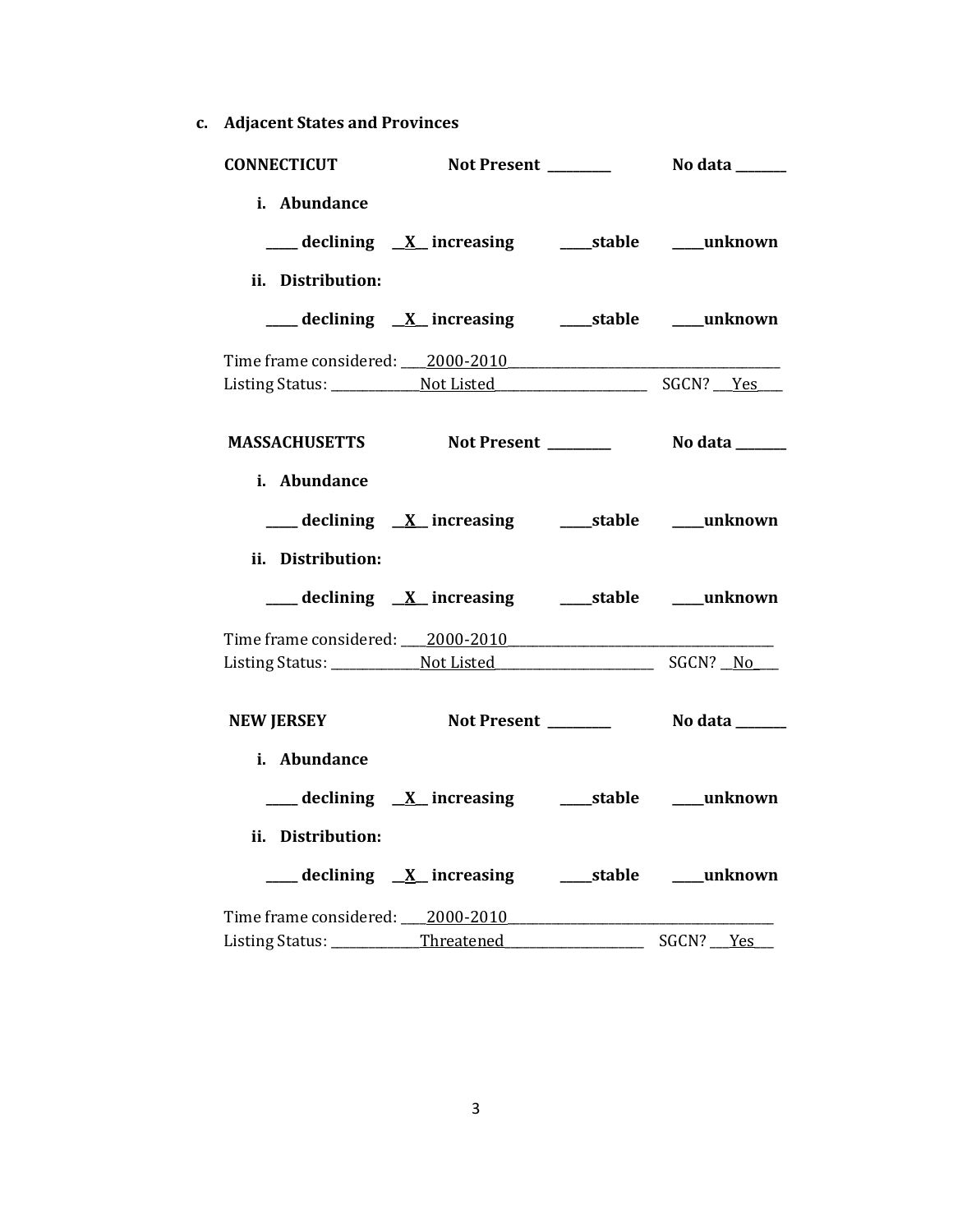**c. Adjacent States and Provinces**

| <b>CONNECTICUT</b> | Not Present _______                                       | No data ______ |
|--------------------|-----------------------------------------------------------|----------------|
| i. Abundance       |                                                           |                |
|                    | ___ declining X_ increasing _______stable ______unknown   |                |
| ii. Distribution:  |                                                           |                |
|                    |                                                           |                |
|                    | Time frame considered: 2000-2010                          |                |
|                    |                                                           |                |
|                    | MASSACHUSETTS Not Present _________ No data ______        |                |
| i. Abundance       |                                                           |                |
|                    | ___ declining <u>X</u> increasing ____ stable ___ unknown |                |
| ii. Distribution:  |                                                           |                |
|                    | ___ declining X_ increasing _______stable _____unknown    |                |
|                    | Time frame considered: 2000-2010                          |                |
|                    |                                                           |                |
| <b>NEW JERSEY</b>  |                                                           |                |
| i. Abundance       |                                                           |                |
|                    | ___ declining X increasing ____ stable ____ unknown       |                |
| ii. Distribution:  |                                                           |                |
|                    |                                                           |                |
|                    | Time frame considered: 2000-2010                          |                |
|                    |                                                           | SGCN? Yes      |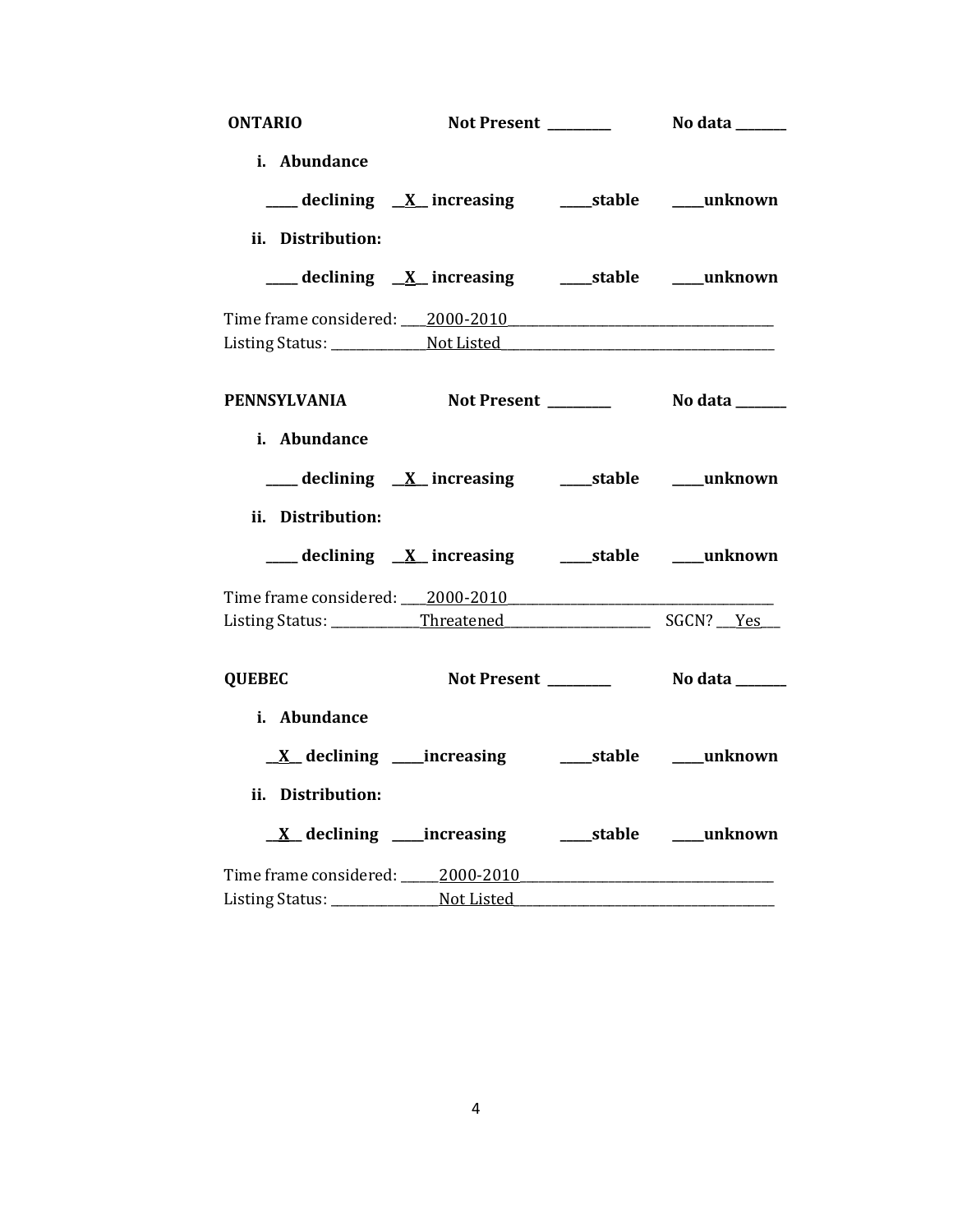| <b>ONTARIO</b>                                   | Not Present _______                                         | No data _______       |
|--------------------------------------------------|-------------------------------------------------------------|-----------------------|
| i. Abundance                                     |                                                             |                       |
|                                                  | ___ declining <u>X</u> increasing ______stable _____unknown |                       |
| ii. Distribution:                                |                                                             |                       |
|                                                  |                                                             |                       |
| Time frame considered: 2000-2010                 |                                                             |                       |
|                                                  |                                                             |                       |
| PENNSYLVANIA Not Present ________ No data ______ |                                                             |                       |
| i. Abundance<br>ii. Distribution:                | ___ declining <u>X</u> _increasing ____stable ____unknown   |                       |
|                                                  | ___ declining X_ increasing _______stable _____unknown      |                       |
| Time frame considered: 2000-2010                 |                                                             |                       |
|                                                  |                                                             |                       |
| <b>QUEBEC</b>                                    | Not Present _______                                         | No data _______       |
| i. Abundance                                     |                                                             |                       |
|                                                  | <u>X</u> declining ____increasing _______stable ____unknown |                       |
| ii. Distribution:                                |                                                             |                       |
|                                                  | $\underline{X}$ declining _____ increasing                  | stable <b>unknown</b> |
|                                                  |                                                             |                       |
|                                                  |                                                             |                       |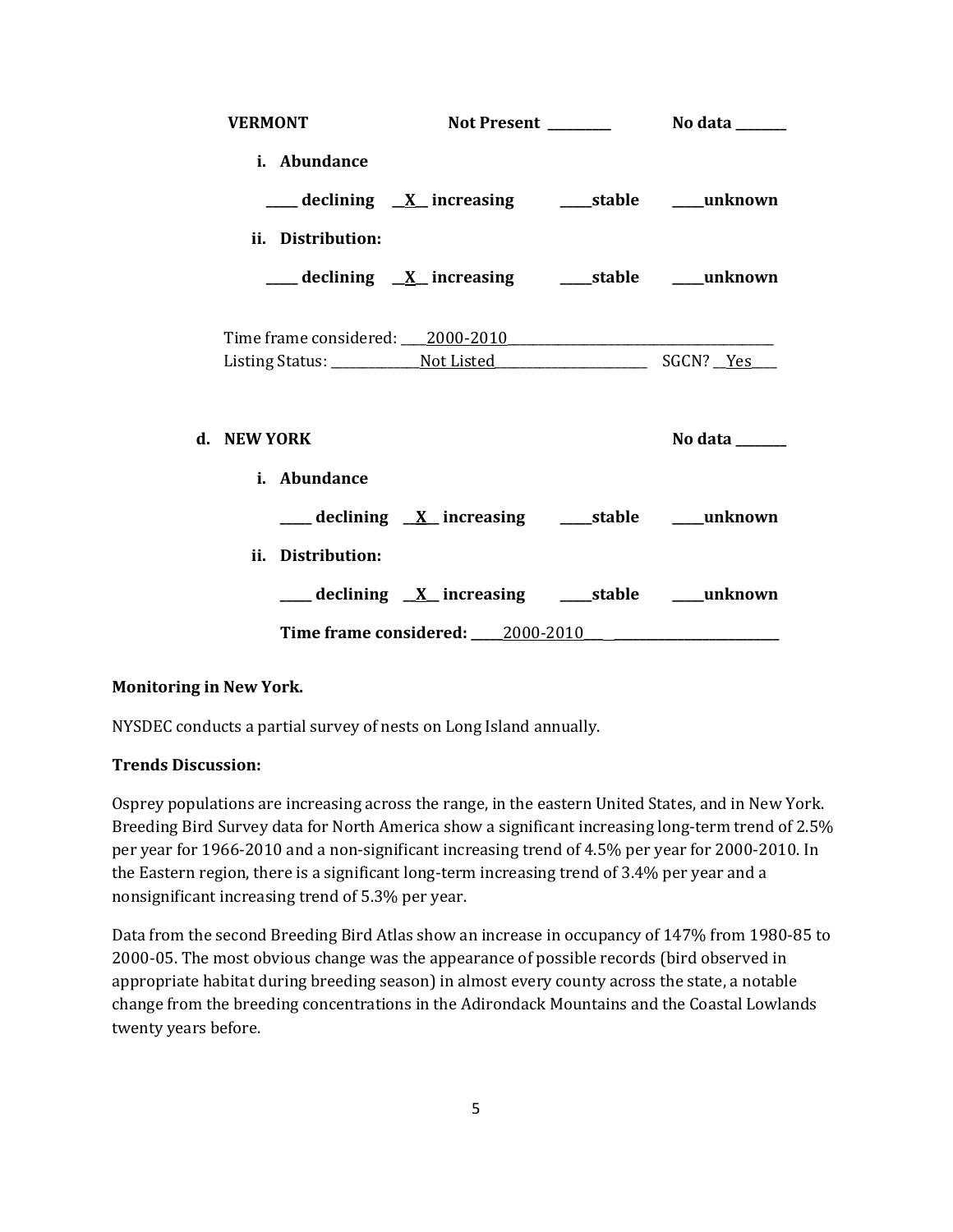| <b>VERMONT</b>                   |                                                            |         |
|----------------------------------|------------------------------------------------------------|---------|
| i. Abundance                     |                                                            |         |
|                                  | ___ declining <u>X</u> increasing ____ stable ____ unknown |         |
| ii. Distribution:                |                                                            |         |
|                                  | ___ declining <u>X</u> increasing ____ stable ____ unknown |         |
| Time frame considered: 2000-2010 |                                                            |         |
|                                  |                                                            |         |
| d. NEW YORK                      |                                                            | No data |
| i. Abundance                     |                                                            |         |
|                                  | ____ declining <u>X</u> increasing ____stable ____unknown  |         |
| ii. Distribution:                |                                                            |         |
|                                  | ___ declining <u>X</u> increasing ___stable ___unknown     |         |
|                                  | Time frame considered: 2000-2010                           |         |

### **Monitoring in New York.**

NYSDEC conducts a partial survey of nests on Long Island annually.

### **Trends Discussion:**

Osprey populations are increasing across the range, in the eastern United States, and in New York. Breeding Bird Survey data for North America show a significant increasing long-term trend of 2.5% per year for 1966-2010 and a non-significant increasing trend of 4.5% per year for 2000-2010. In the Eastern region, there is a significant long-term increasing trend of 3.4% per year and a nonsignificant increasing trend of 5.3% per year.

Data from the second Breeding Bird Atlas show an increase in occupancy of 147% from 1980-85 to 2000-05. The most obvious change was the appearance of possible records (bird observed in appropriate habitat during breeding season) in almost every county across the state, a notable change from the breeding concentrations in the Adirondack Mountains and the Coastal Lowlands twenty years before.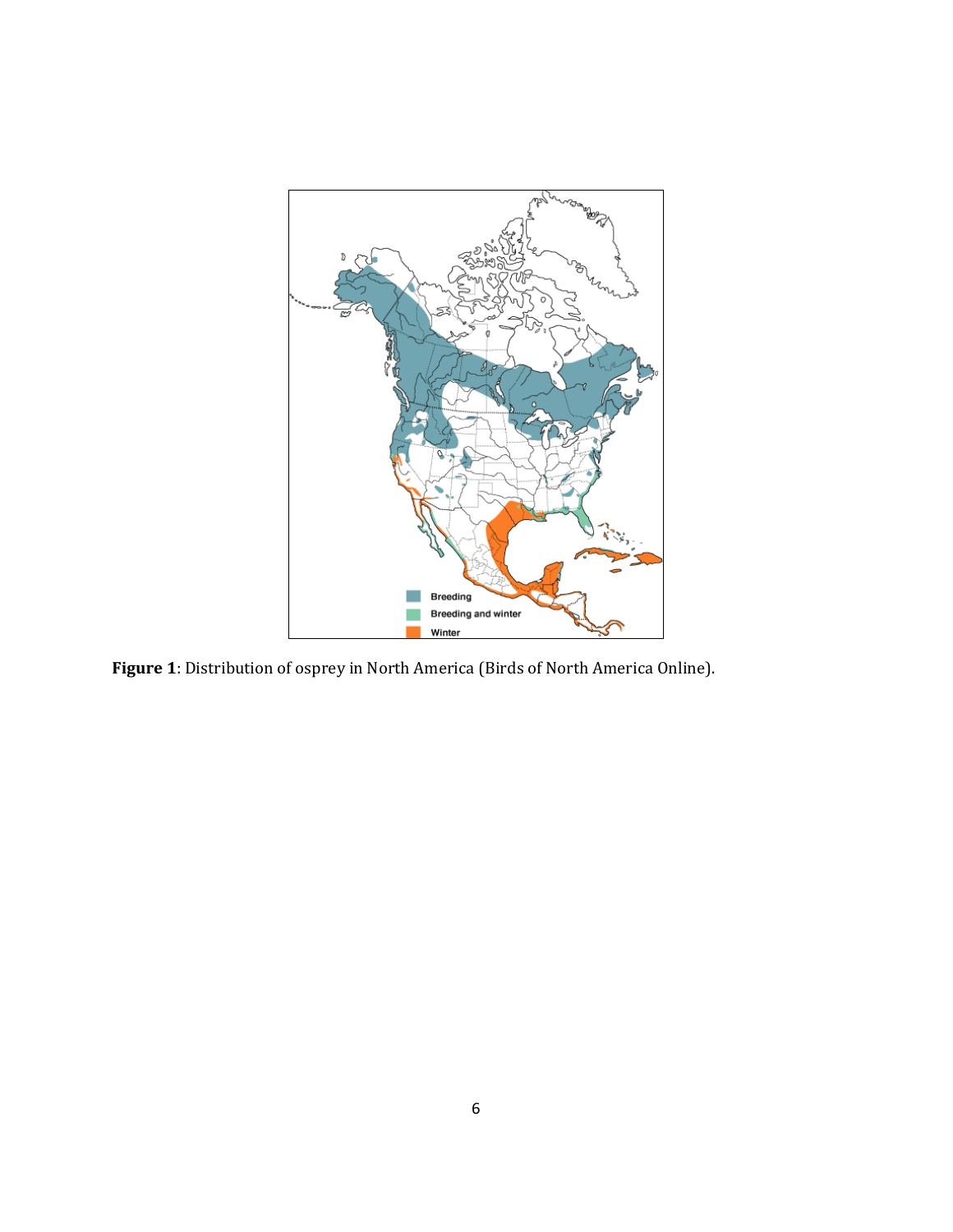

**Figure 1**: Distribution of osprey in North America (Birds of North America Online).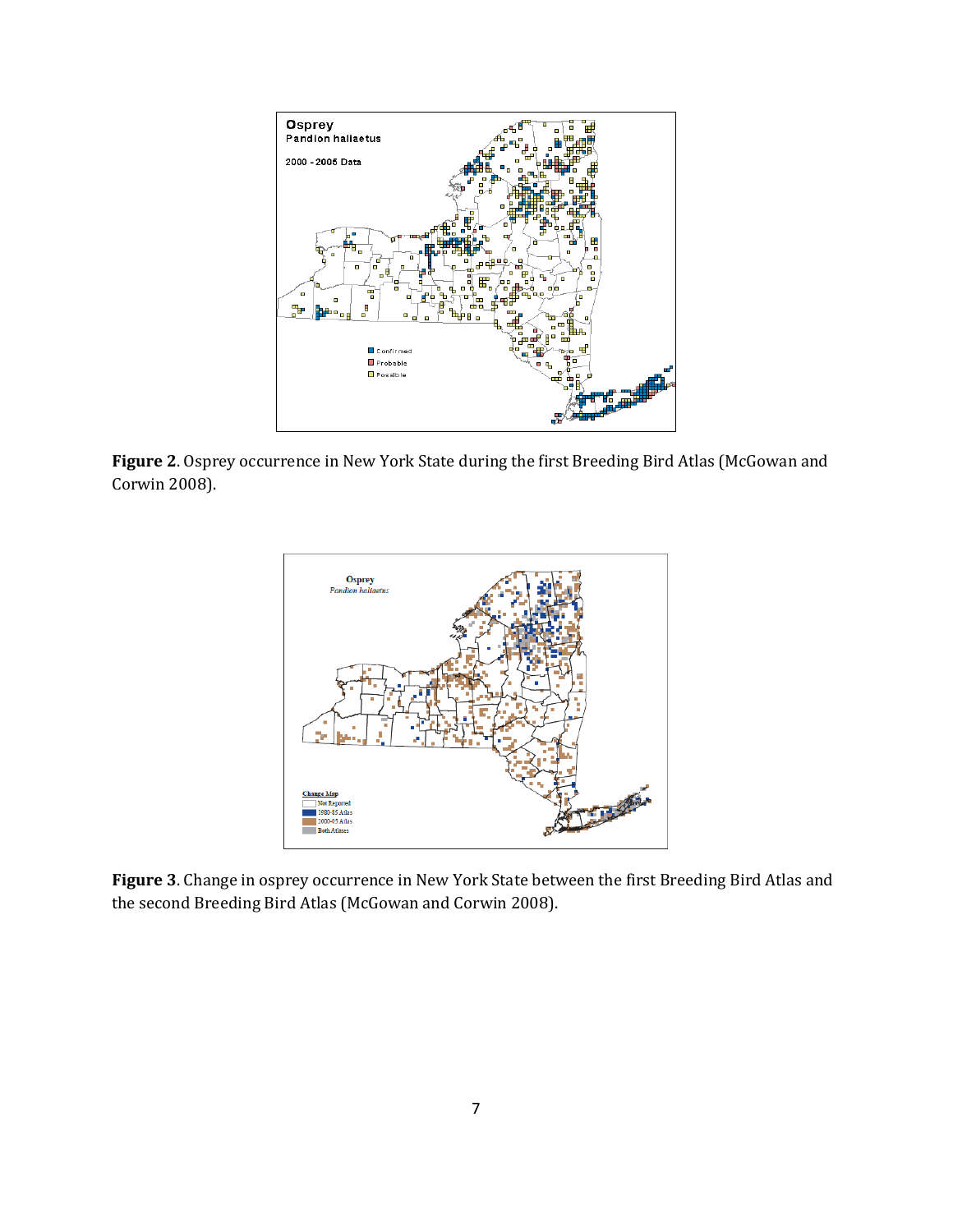

**Figure 2**. Osprey occurrence in New York State during the first Breeding Bird Atlas (McGowan and Corwin 2008).



**Figure 3**. Change in osprey occurrence in New York State between the first Breeding Bird Atlas and the second Breeding Bird Atlas (McGowan and Corwin 2008).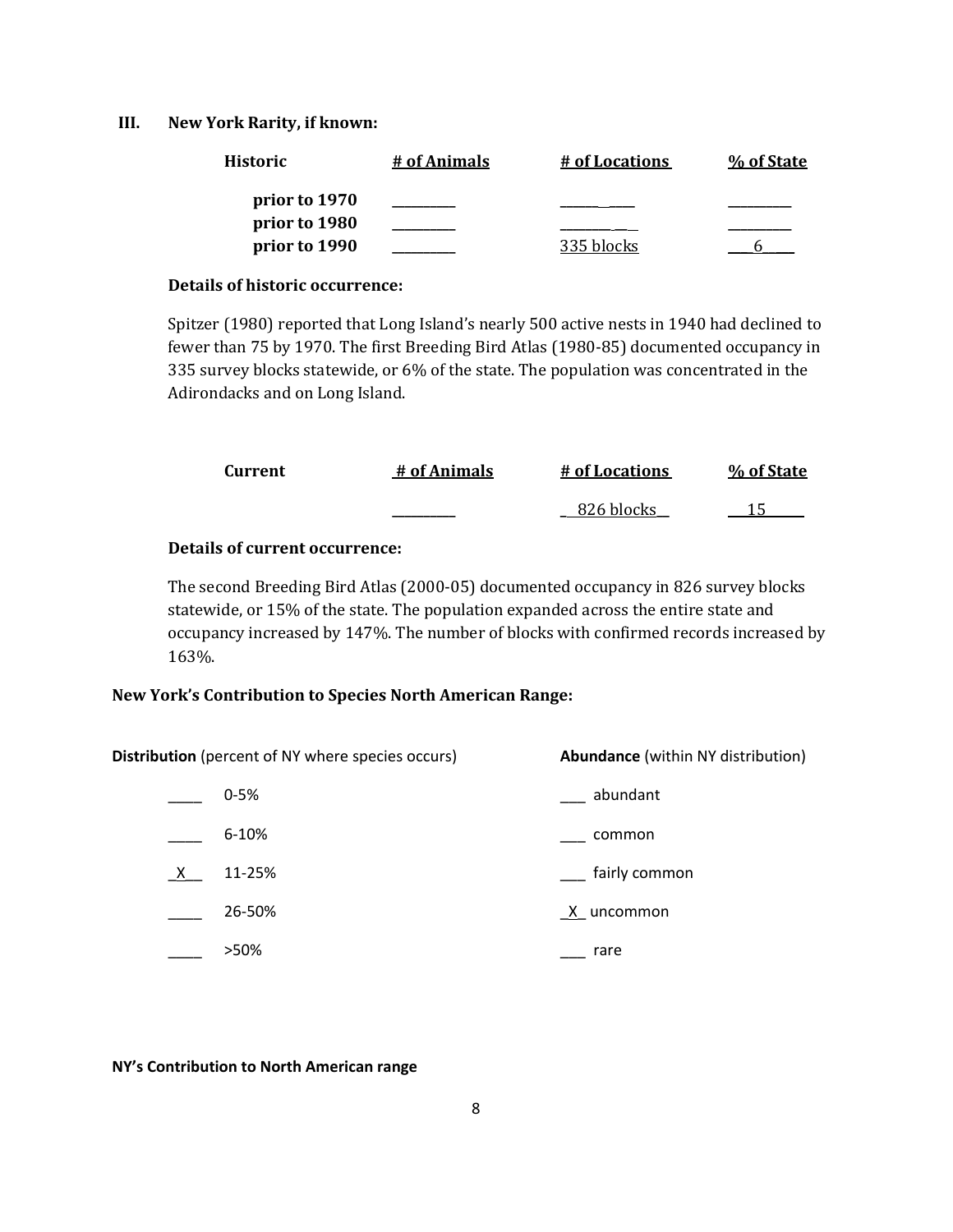#### **III. New York Rarity, if known:**

| <b>Historic</b> | # of Animals | # of Locations | % of State |
|-----------------|--------------|----------------|------------|
| prior to 1970   |              |                |            |
| prior to 1980   |              |                |            |
| prior to 1990   |              | 335 blocks     |            |

#### **Details of historic occurrence:**

Spitzer (1980) reported that Long Island's nearly 500 active nests in 1940 had declined to fewer than 75 by 1970. The first Breeding Bird Atlas (1980-85) documented occupancy in 335 survey blocks statewide, or 6% of the state. The population was concentrated in the Adirondacks and on Long Island.

| Current | # of Animals | # of Locations | % of State |
|---------|--------------|----------------|------------|
|         |              | 826 blocks     |            |

## **Details of current occurrence:**

The second Breeding Bird Atlas (2000-05) documented occupancy in 826 survey blocks statewide, or 15% of the state. The population expanded across the entire state and occupancy increased by 147%. The number of blocks with confirmed records increased by 163%.

### **New York's Contribution to Species North American Range:**

**Distribution** (percent of NY where species occurs) **Abundance** (within NY distribution)

|   | $0 - 5%$  | abundant      |
|---|-----------|---------------|
|   | $6 - 10%$ | common        |
| X | 11-25%    | fairly common |
|   | 26-50%    | X uncommon    |
|   | >50%      | rare          |

#### **NY's Contribution to North American range**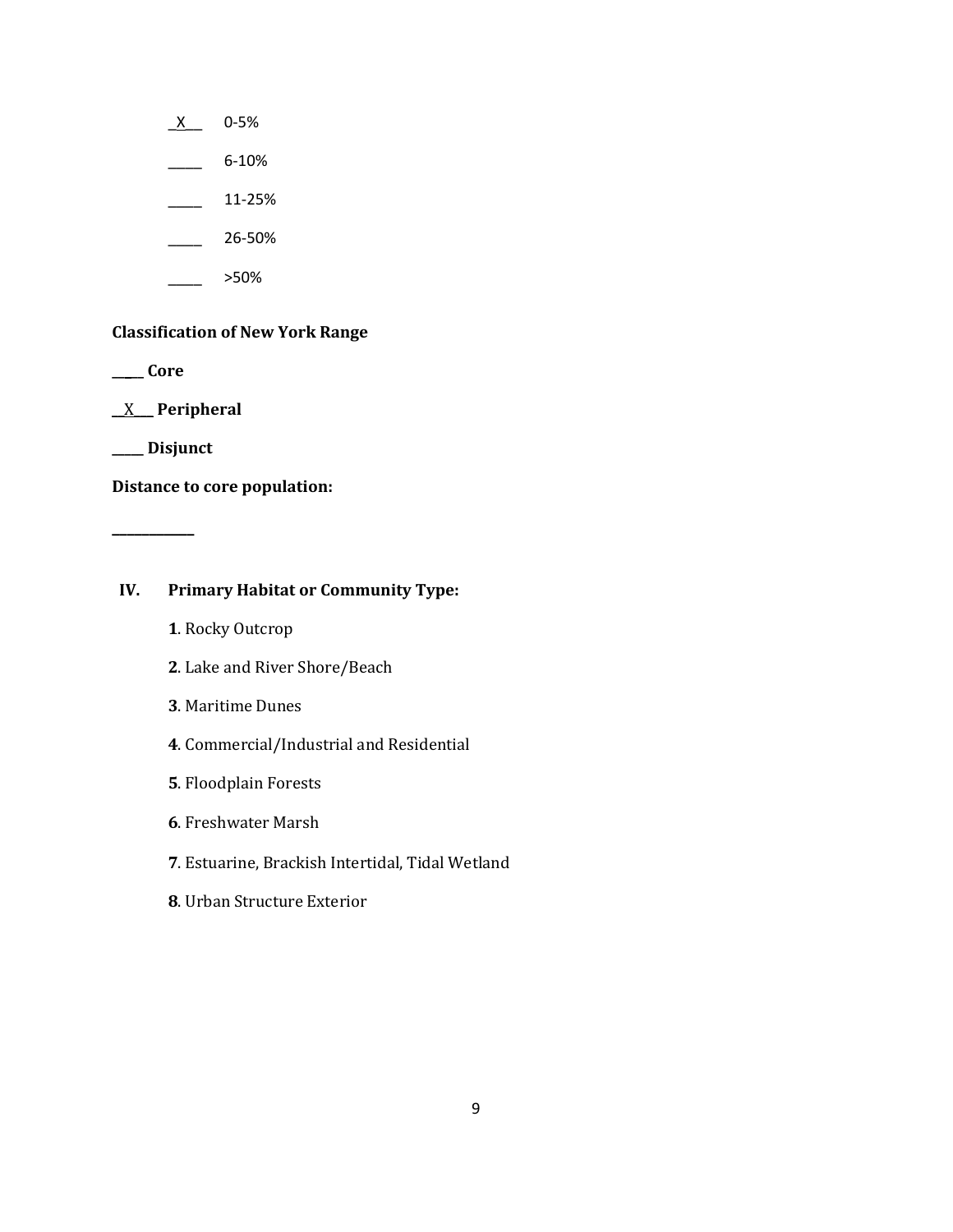- $X$  0-5%
- $\frac{6-10\%}{2}$
- $\frac{11-25\%}{1}$
- $\frac{26-50\%}{26-50\%}$
- $>50%$

# **Classification of New York Range**

**\_\_\_\_\_ Core**

\_\_X\_\_\_ **Peripheral**

**\_\_\_\_\_ Disjunct**

**\_\_\_\_\_\_\_\_\_\_\_**

**Distance to core population:**

# **IV. Primary Habitat or Community Type:**

- **1**. Rocky Outcrop
- **2**. Lake and River Shore/Beach
- **3**. Maritime Dunes
- **4**. Commercial/Industrial and Residential
- **5**. Floodplain Forests
- **6**. Freshwater Marsh
- **7**. Estuarine, Brackish Intertidal, Tidal Wetland
- **8**. Urban Structure Exterior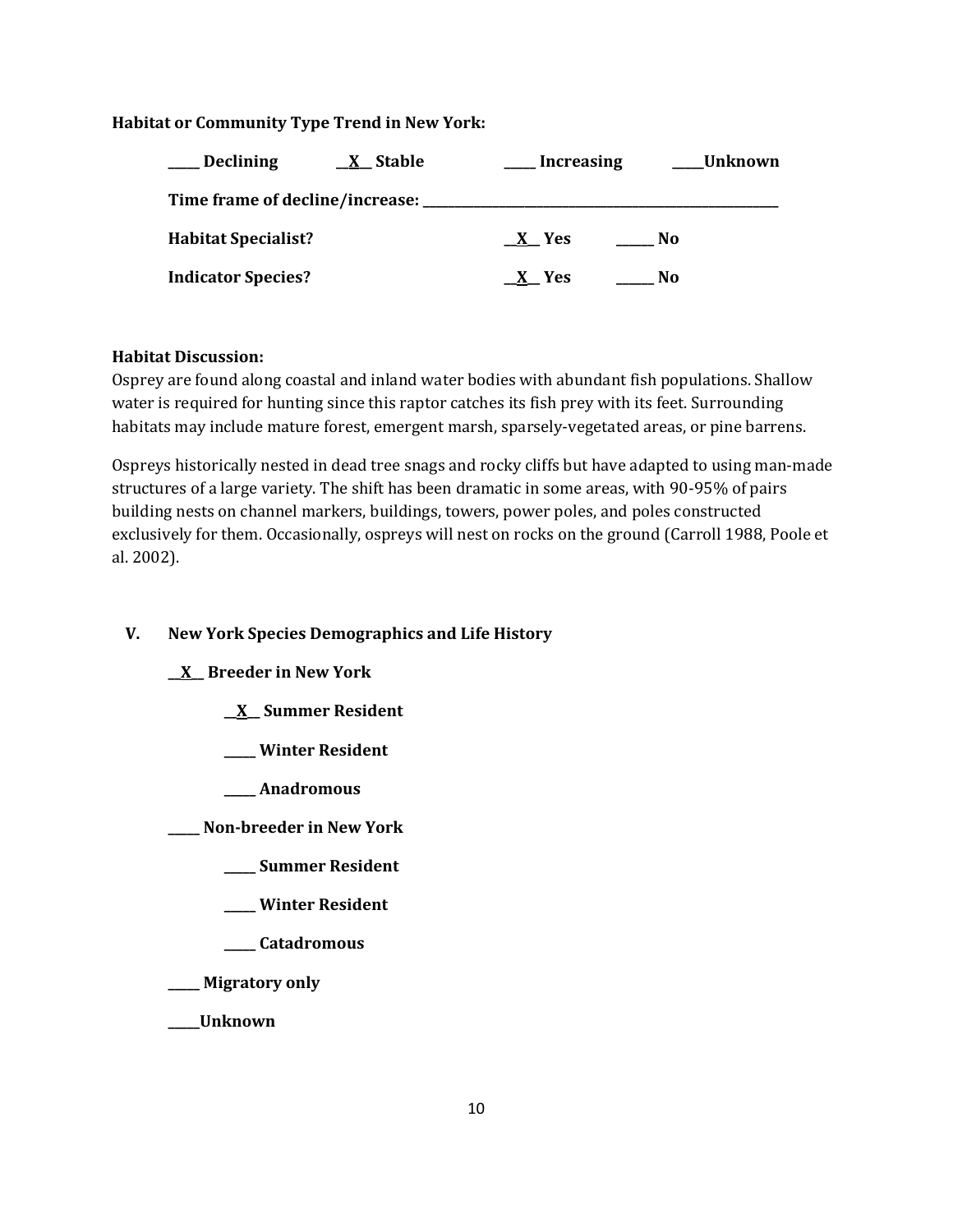## **Habitat or Community Type Trend in New York:**

| <b>Declining</b>           | $X$ Stable | <b>Increasing</b> |     | Unknown |
|----------------------------|------------|-------------------|-----|---------|
|                            |            |                   |     |         |
| <b>Habitat Specialist?</b> |            | X Yes             | No. |         |
| <b>Indicator Species?</b>  |            | X Yes             | No. |         |

### **Habitat Discussion:**

Osprey are found along coastal and inland water bodies with abundant fish populations. Shallow water is required for hunting since this raptor catches its fish prey with its feet. Surrounding habitats may include mature forest, emergent marsh, sparsely-vegetated areas, or pine barrens.

Ospreys historically nested in dead tree snags and rocky cliffs but have adapted to using man-made structures of a large variety. The shift has been dramatic in some areas, with 90-95% of pairs building nests on channel markers, buildings, towers, power poles, and poles constructed exclusively for them. Occasionally, ospreys will nest on rocks on the ground (Carroll 1988, Poole et al. 2002).

# **V. New York Species Demographics and Life History**

# **\_\_X\_\_ Breeder in New York**

- **\_\_X\_\_ Summer Resident**
- **\_\_\_\_\_ Winter Resident**
- **\_\_\_\_\_ Anadromous**

**\_\_\_\_\_ Non-breeder in New York**

- **\_\_\_\_\_ Summer Resident**
- **\_\_\_\_\_ Winter Resident**
- **\_\_\_\_\_ Catadromous**
- **\_\_\_\_\_ Migratory only**

**\_\_\_\_\_Unknown**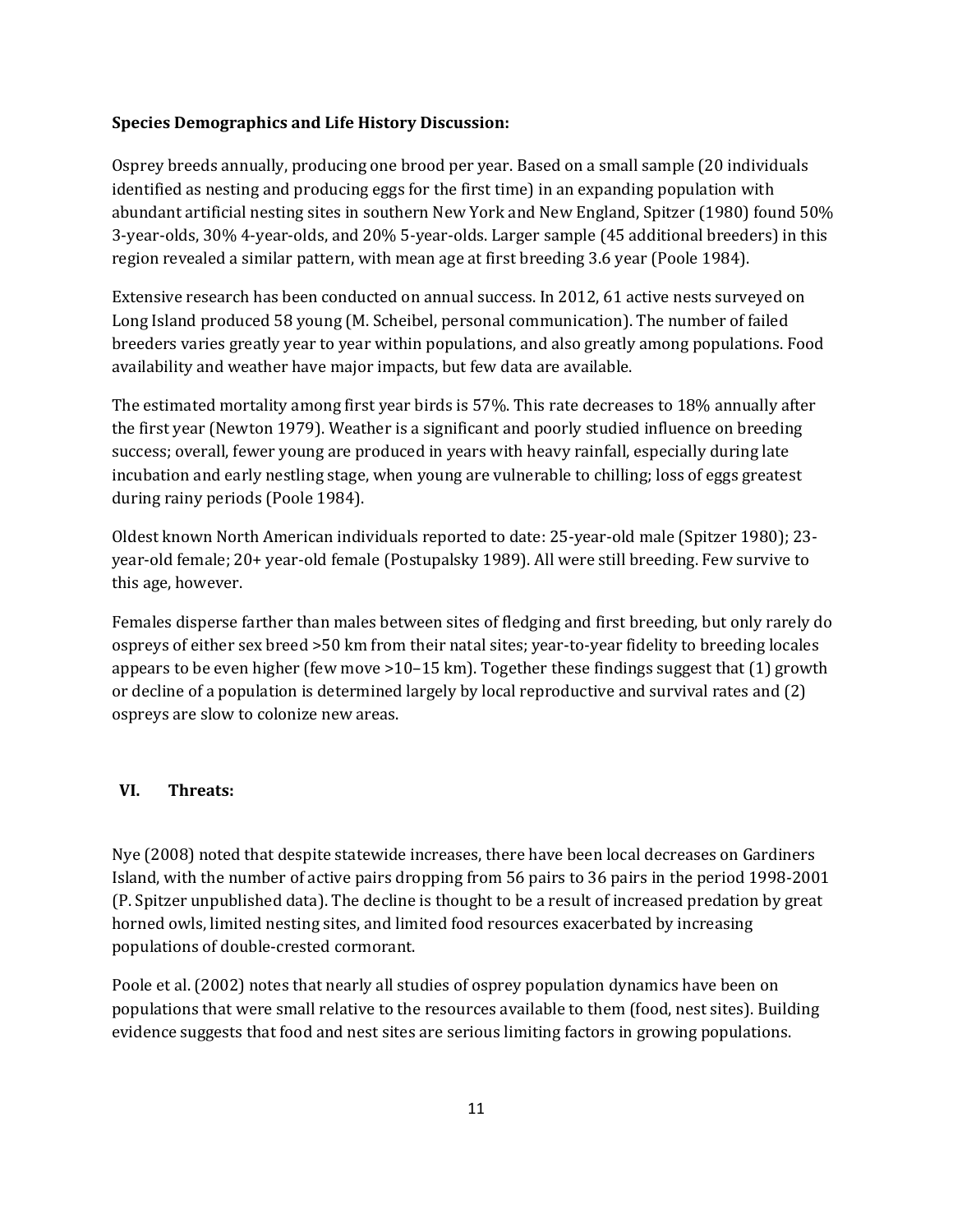#### **Species Demographics and Life History Discussion:**

Osprey breeds annually, producing one brood per year. Based on a small sample (20 individuals identified as nesting and producing eggs for the first time) in an expanding population with abundant artificial nesting sites in southern New York and New England, Spitzer (1980) found 50% 3-year-olds, 30% 4-year-olds, and 20% 5-year-olds. Larger sample (45 additional breeders) in this region revealed a similar pattern, with mean age at first breeding 3.6 year (Poole 1984).

Extensive research has been conducted on annual success. In 2012, 61 active nests surveyed on Long Island produced 58 young (M. Scheibel, personal communication). The number of failed breeders varies greatly year to year within populations, and also greatly among populations. Food availability and weather have major impacts, but few data are available.

The estimated mortality among first year birds is 57%. This rate decreases to 18% annually after the first year (Newton 1979). Weather is a significant and poorly studied influence on breeding success; overall, fewer young are produced in years with heavy rainfall, especially during late incubation and early nestling stage, when young are vulnerable to chilling; loss of eggs greatest during rainy periods (Poole 1984).

Oldest known North American individuals reported to date: 25-year-old male (Spitzer 1980); 23 year-old female; 20+ year-old female (Postupalsky 1989). All were still breeding. Few survive to this age, however.

Females disperse farther than males between sites of fledging and first breeding, but only rarely do ospreys of either sex breed >50 km from their natal sites; year-to-year fidelity to breeding locales appears to be even higher (few move  $>10-15$  km). Together these findings suggest that (1) growth or decline of a population is determined largely by local reproductive and survival rates and (2) ospreys are slow to colonize new areas.

### **VI. Threats:**

Nye (2008) noted that despite statewide increases, there have been local decreases on Gardiners Island, with the number of active pairs dropping from 56 pairs to 36 pairs in the period 1998-2001 (P. Spitzer unpublished data). The decline is thought to be a result of increased predation by great horned owls, limited nesting sites, and limited food resources exacerbated by increasing populations of double-crested cormorant.

Poole et al. (2002) notes that nearly all studies of osprey population dynamics have been on populations that were small relative to the resources available to them (food, nest sites). Building evidence suggests that food and nest sites are serious limiting factors in growing populations.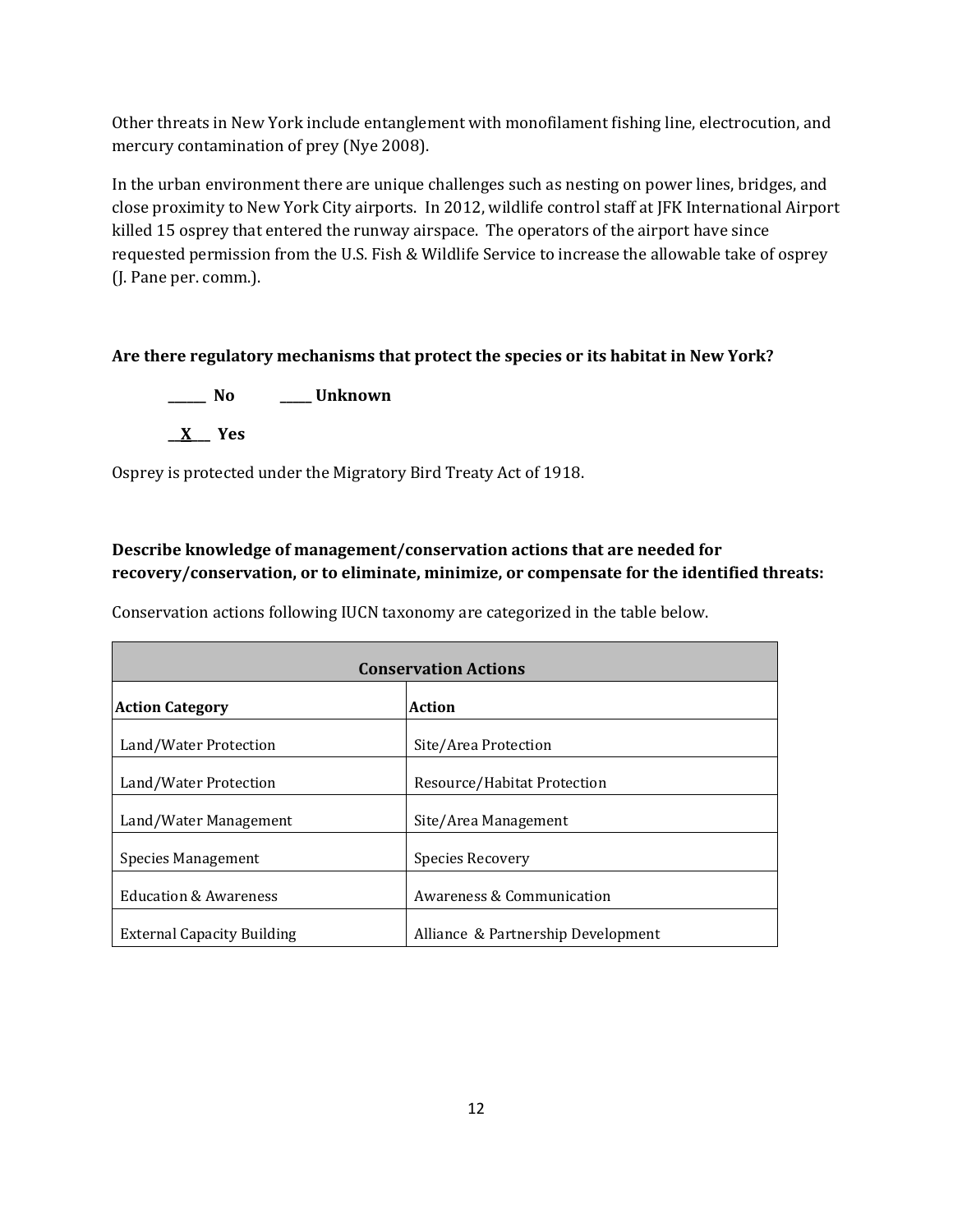Other threats in New York include entanglement with monofilament fishing line, electrocution, and mercury contamination of prey (Nye 2008).

In the urban environment there are unique challenges such as nesting on power lines, bridges, and close proximity to New York City airports. In 2012, wildlife control staff at JFK International Airport killed 15 osprey that entered the runway airspace. The operators of the airport have since requested permission from the U.S. Fish & Wildlife Service to increase the allowable take of osprey (J. Pane per. comm.).

# **Are there regulatory mechanisms that protect the species or its habitat in New York?**

**\_\_\_\_\_\_ No \_\_\_\_\_ Unknown \_\_X\_\_\_ Yes** 

Osprey is protected under the Migratory Bird Treaty Act of 1918.

# **Describe knowledge of management/conservation actions that are needed for recovery/conservation, or to eliminate, minimize, or compensate for the identified threats:**

Conservation actions following IUCN taxonomy are categorized in the table below.

| <b>Conservation Actions</b>       |                                    |  |  |
|-----------------------------------|------------------------------------|--|--|
| <b>Action Category</b>            | Action                             |  |  |
| Land/Water Protection             | Site/Area Protection               |  |  |
| Land/Water Protection             | Resource/Habitat Protection        |  |  |
| Land/Water Management             | Site/Area Management               |  |  |
| <b>Species Management</b>         | Species Recovery                   |  |  |
| <b>Education &amp; Awareness</b>  | Awareness & Communication          |  |  |
| <b>External Capacity Building</b> | Alliance & Partnership Development |  |  |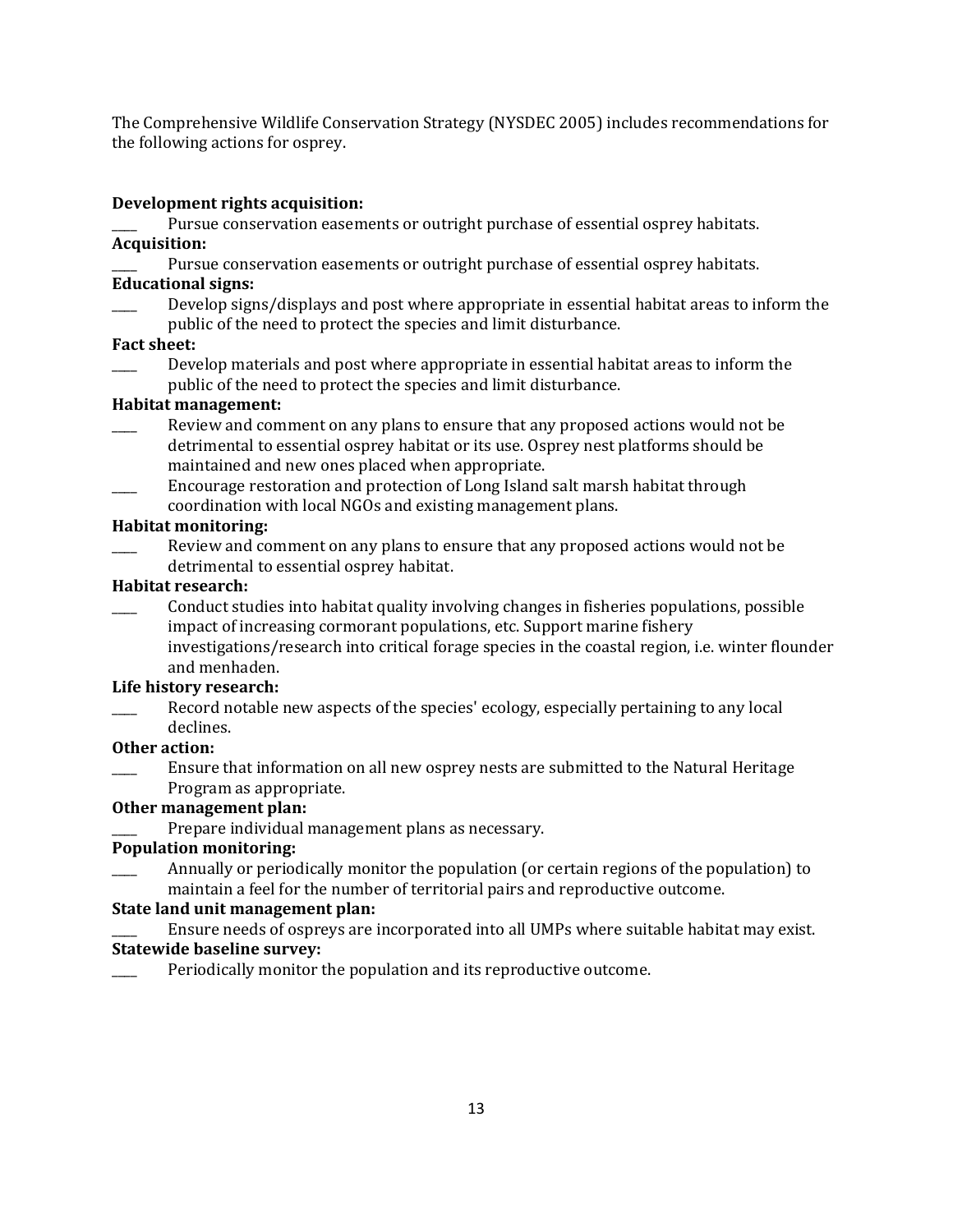The Comprehensive Wildlife Conservation Strategy (NYSDEC 2005) includes recommendations for the following actions for osprey.

### **Development rights acquisition:**

Pursue conservation easements or outright purchase of essential osprey habitats.

# **Acquisition:**

Pursue conservation easements or outright purchase of essential osprey habitats.

# **Educational signs:**

Develop signs/displays and post where appropriate in essential habitat areas to inform the public of the need to protect the species and limit disturbance.

## **Fact sheet:**

\_\_\_\_ Develop materials and post where appropriate in essential habitat areas to inform the public of the need to protect the species and limit disturbance.

## **Habitat management:**

- Review and comment on any plans to ensure that any proposed actions would not be detrimental to essential osprey habitat or its use. Osprey nest platforms should be maintained and new ones placed when appropriate.
- \_\_\_\_ Encourage restoration and protection of Long Island salt marsh habitat through coordination with local NGOs and existing management plans.

## **Habitat monitoring:**

Review and comment on any plans to ensure that any proposed actions would not be detrimental to essential osprey habitat.

## **Habitat research:**

Conduct studies into habitat quality involving changes in fisheries populations, possible impact of increasing cormorant populations, etc. Support marine fishery investigations/research into critical forage species in the coastal region, i.e. winter flounder and menhaden.

# **Life history research:**

Record notable new aspects of the species' ecology, especially pertaining to any local declines.

### **Other action:**

\_\_\_\_ Ensure that information on all new osprey nests are submitted to the Natural Heritage Program as appropriate.

# **Other management plan:**

Prepare individual management plans as necessary.

# **Population monitoring:**

Annually or periodically monitor the population (or certain regions of the population) to maintain a feel for the number of territorial pairs and reproductive outcome.

# **State land unit management plan:**

\_\_\_\_ Ensure needs of ospreys are incorporated into all UMPs where suitable habitat may exist.

# **Statewide baseline survey:**

Periodically monitor the population and its reproductive outcome.